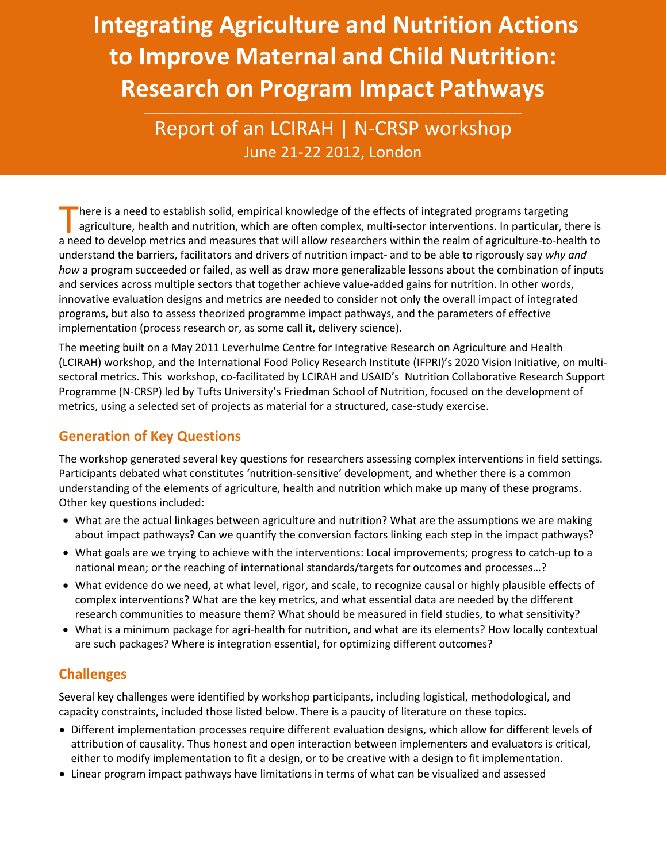# **Integrating Agriculture and Nutrition Actions to Improve Maternal and Child Nutrition: Research on Program Impact Pathways**

Report of an LCIRAH | N-CRSP workshop June 21-22 2012, London

here is a need to establish solid, empirical knowledge of the effects of integrated programs targeting agriculture, health and nutrition, which are often complex, multi-sector interventions. In particular, there is There is a need to establish solid, empirical knowledge of the effects of integrated programs targeting<br>agriculture, health and nutrition, which are often complex, multi-sector interventions. In particular, there is<br>a need understand the barriers, facilitators and drivers of nutrition impact- and to be able to rigorously say *why and how* a program succeeded or failed, as well as draw more generalizable lessons about the combination of inputs and services across multiple sectors that together achieve value-added gains for nutrition. In other words, innovative evaluation designs and metrics are needed to consider not only the overall impact of integrated programs, but also to assess theorized programme impact pathways, and the parameters of effective implementation (process research or, as some call it, delivery science).

The meeting built on a May 2011 Leverhulme Centre for Integrative Research on Agriculture and Health (LCIRAH) workshop, and the International Food Policy Research Institute (IFPRI)'s 2020 Vision Initiative, on multisectoral metrics. This workshop, co-facilitated by LCIRAH and USAID's Nutrition Collaborative Research Support Programme (N-CRSP) led by Tufts University's Friedman School of Nutrition, focused on the development of metrics, using a selected set of projects as material for a structured, case-study exercise.

## **Generation of Key Questions**

The workshop generated several key questions for researchers assessing complex interventions in field settings. Participants debated what constitutes 'nutrition-sensitive' development, and whether there is a common understanding of the elements of agriculture, health and nutrition which make up many of these programs. Other key questions included:

- What are the actual linkages between agriculture and nutrition? What are the assumptions we are making about impact pathways? Can we quantify the conversion factors linking each step in the impact pathways?
- What goals are we trying to achieve with the interventions: Local improvements; progress to catch-up to a national mean; or the reaching of international standards/targets for outcomes and processes…?
- What evidence do we need, at what level, rigor, and scale, to recognize causal or highly plausible effects of complex interventions? What are the key metrics, and what essential data are needed by the different research communities to measure them? What should be measured in field studies, to what sensitivity?
- What is a minimum package for agri-health for nutrition, and what are its elements? How locally contextual are such packages? Where is integration essential, for optimizing different outcomes?

### **Challenges**

Several key challenges were identified by workshop participants, including logistical, methodological, and capacity constraints, included those listed below. There is a paucity of literature on these topics.

- Different implementation processes require different evaluation designs, which allow for different levels of attribution of causality. Thus honest and open interaction between implementers and evaluators is critical, either to modify implementation to fit a design, or to be creative with a design to fit implementation.
- Linear program impact pathways have limitations in terms of what can be visualized and assessed